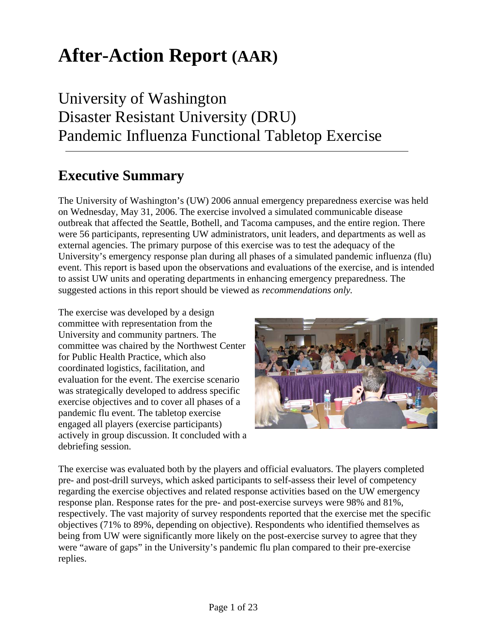# **After-Action Report (AAR)**

# University of Washington Disaster Resistant University (DRU) Pandemic Influenza Functional Tabletop Exercise

# **Executive Summary**

The University of Washington's (UW) 2006 annual emergency preparedness exercise was held on Wednesday, May 31, 2006. The exercise involved a simulated communicable disease outbreak that affected the Seattle, Bothell, and Tacoma campuses, and the entire region. There were 56 participants, representing UW administrators, unit leaders, and departments as well as external agencies. The primary purpose of this exercise was to test the adequacy of the University's emergency response plan during all phases of a simulated pandemic influenza (flu) event. This report is based upon the observations and evaluations of the exercise, and is intended to assist UW units and operating departments in enhancing emergency preparedness. The suggested actions in this report should be viewed as *recommendations only.* 

The exercise was developed by a design committee with representation from the University and community partners. The committee was chaired by the Northwest Center for Public Health Practice, which also coordinated logistics, facilitation, and evaluation for the event. The exercise scenario was strategically developed to address specific exercise objectives and to cover all phases of a pandemic flu event. The tabletop exercise engaged all players (exercise participants) actively in group discussion. It concluded with a debriefing session.



The exercise was evaluated both by the players and official evaluators. The players completed pre- and post-drill surveys, which asked participants to self-assess their level of competency regarding the exercise objectives and related response activities based on the UW emergency response plan. Response rates for the pre- and post-exercise surveys were 98% and 81%, respectively. The vast majority of survey respondents reported that the exercise met the specific objectives (71% to 89%, depending on objective). Respondents who identified themselves as being from UW were significantly more likely on the post-exercise survey to agree that they were "aware of gaps" in the University's pandemic flu plan compared to their pre-exercise replies.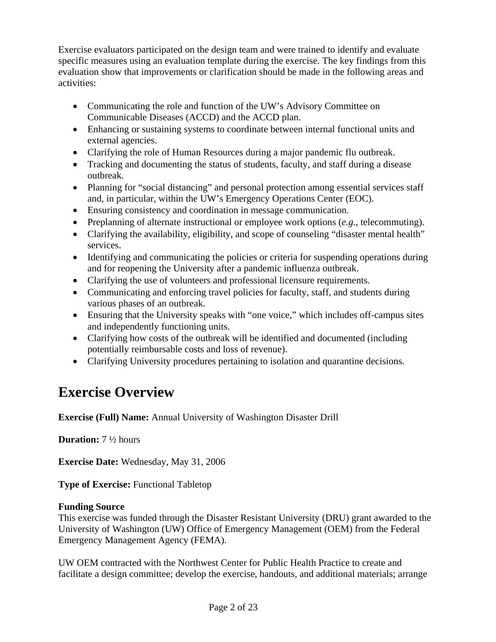Exercise evaluators participated on the design team and were trained to identify and evaluate specific measures using an evaluation template during the exercise. The key findings from this evaluation show that improvements or clarification should be made in the following areas and activities:

- Communicating the role and function of the UW's Advisory Committee on Communicable Diseases (ACCD) and the ACCD plan.
- Enhancing or sustaining systems to coordinate between internal functional units and external agencies.
- Clarifying the role of Human Resources during a major pandemic flu outbreak.
- Tracking and documenting the status of students, faculty, and staff during a disease outbreak.
- Planning for "social distancing" and personal protection among essential services staff and, in particular, within the UW's Emergency Operations Center (EOC).
- Ensuring consistency and coordination in message communication.
- Preplanning of alternate instructional or employee work options (*e.g.*, telecommuting).
- Clarifying the availability, eligibility, and scope of counseling "disaster mental health" services.
- Identifying and communicating the policies or criteria for suspending operations during and for reopening the University after a pandemic influenza outbreak.
- Clarifying the use of volunteers and professional licensure requirements.
- Communicating and enforcing travel policies for faculty, staff, and students during various phases of an outbreak.
- Ensuring that the University speaks with "one voice," which includes off-campus sites and independently functioning units.
- Clarifying how costs of the outbreak will be identified and documented (including potentially reimbursable costs and loss of revenue).
- Clarifying University procedures pertaining to isolation and quarantine decisions.

# **Exercise Overview**

**Exercise (Full) Name:** Annual University of Washington Disaster Drill

**Duration:** 7 ½ hours

**Exercise Date:** Wednesday, May 31, 2006

**Type of Exercise:** Functional Tabletop

# **Funding Source**

This exercise was funded through the Disaster Resistant University (DRU) grant awarded to the University of Washington (UW) Office of Emergency Management (OEM) from the Federal Emergency Management Agency (FEMA).

UW OEM contracted with the Northwest Center for Public Health Practice to create and facilitate a design committee; develop the exercise, handouts, and additional materials; arrange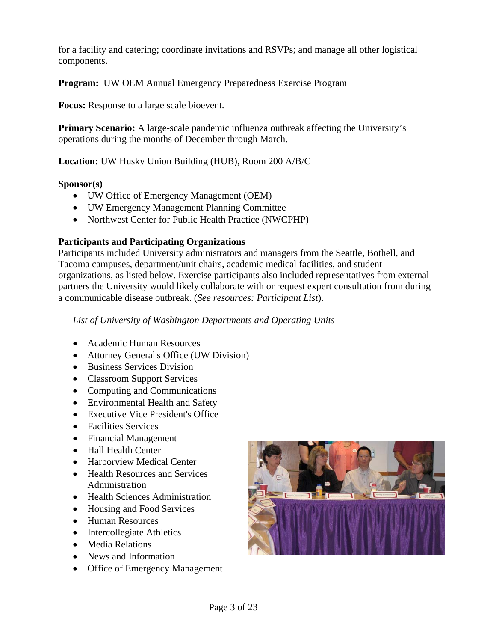for a facility and catering; coordinate invitations and RSVPs; and manage all other logistical components.

**Program:** UW OEM Annual Emergency Preparedness Exercise Program

**Focus:** Response to a large scale bioevent.

**Primary Scenario:** A large-scale pandemic influenza outbreak affecting the University's operations during the months of December through March.

**Location:** UW Husky Union Building (HUB), Room 200 A/B/C

#### **Sponsor(s)**

- UW Office of Emergency Management (OEM)
- UW Emergency Management Planning Committee
- Northwest Center for Public Health Practice (NWCPHP)

# **Participants and Participating Organizations**

Participants included University administrators and managers from the Seattle, Bothell, and Tacoma campuses, department/unit chairs, academic medical facilities, and student organizations, as listed below. Exercise participants also included representatives from external partners the University would likely collaborate with or request expert consultation from during a communicable disease outbreak. (*See resources: Participant List*).

*List of University of Washington Departments and Operating Units* 

- Academic Human Resources
- Attorney General's Office (UW Division)
- Business Services Division
- Classroom Support Services
- Computing and Communications
- Environmental Health and Safety
- Executive Vice President's Office
- Facilities Services
- Financial Management
- Hall Health Center
- Harborview Medical Center
- Health Resources and Services Administration
- Health Sciences Administration
- Housing and Food Services
- Human Resources
- Intercollegiate Athletics
- Media Relations
- News and Information
- Office of Emergency Management

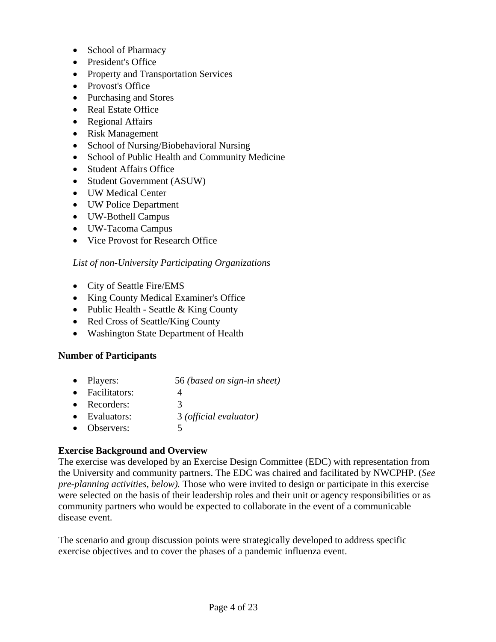- School of Pharmacy
- President's Office
- Property and Transportation Services
- Provost's Office
- Purchasing and Stores
- Real Estate Office
- Regional Affairs
- Risk Management
- School of Nursing/Biobehavioral Nursing
- School of Public Health and Community Medicine
- Student Affairs Office
- Student Government (ASUW)
- UW Medical Center
- UW Police Department
- UW-Bothell Campus
- UW-Tacoma Campus
- Vice Provost for Research Office

# *List of non-University Participating Organizations*

- City of Seattle Fire/EMS
- King County Medical Examiner's Office
- Public Health Seattle & King County
- Red Cross of Seattle/King County
- Washington State Department of Health

# **Number of Participants**

- Players: 56 *(based on sign-in sheet)*
- Facilitators: 4
- Recorders: 3
- Evaluators: 3 *(official evaluator)*
- Observers: 5

# **Exercise Background and Overview**

The exercise was developed by an Exercise Design Committee (EDC) with representation from the University and community partners. The EDC was chaired and facilitated by NWCPHP. (*See pre-planning activities, below).* Those who were invited to design or participate in this exercise were selected on the basis of their leadership roles and their unit or agency responsibilities or as community partners who would be expected to collaborate in the event of a communicable disease event.

The scenario and group discussion points were strategically developed to address specific exercise objectives and to cover the phases of a pandemic influenza event.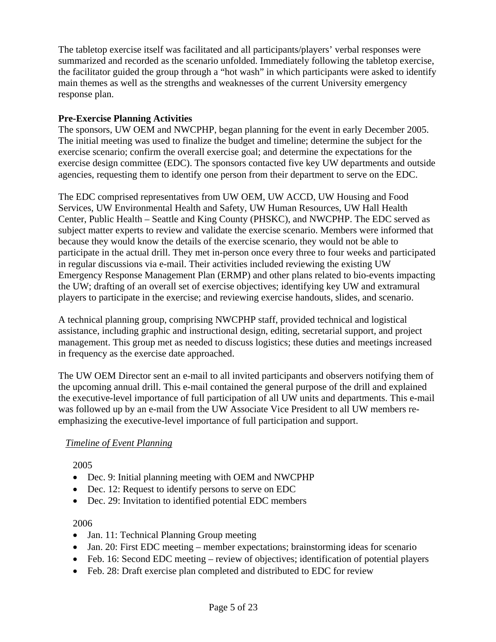The tabletop exercise itself was facilitated and all participants/players' verbal responses were summarized and recorded as the scenario unfolded. Immediately following the tabletop exercise, the facilitator guided the group through a "hot wash" in which participants were asked to identify main themes as well as the strengths and weaknesses of the current University emergency response plan.

# **Pre-Exercise Planning Activities**

The sponsors, UW OEM and NWCPHP, began planning for the event in early December 2005. The initial meeting was used to finalize the budget and timeline; determine the subject for the exercise scenario; confirm the overall exercise goal; and determine the expectations for the exercise design committee (EDC). The sponsors contacted five key UW departments and outside agencies, requesting them to identify one person from their department to serve on the EDC.

The EDC comprised representatives from UW OEM, UW ACCD, UW Housing and Food Services, UW Environmental Health and Safety, UW Human Resources, UW Hall Health Center, Public Health – Seattle and King County (PHSKC), and NWCPHP. The EDC served as subject matter experts to review and validate the exercise scenario. Members were informed that because they would know the details of the exercise scenario, they would not be able to participate in the actual drill. They met in-person once every three to four weeks and participated in regular discussions via e-mail. Their activities included reviewing the existing UW Emergency Response Management Plan (ERMP) and other plans related to bio-events impacting the UW; drafting of an overall set of exercise objectives; identifying key UW and extramural players to participate in the exercise; and reviewing exercise handouts, slides, and scenario.

A technical planning group, comprising NWCPHP staff, provided technical and logistical assistance, including graphic and instructional design, editing, secretarial support, and project management. This group met as needed to discuss logistics; these duties and meetings increased in frequency as the exercise date approached.

The UW OEM Director sent an e-mail to all invited participants and observers notifying them of the upcoming annual drill. This e-mail contained the general purpose of the drill and explained the executive-level importance of full participation of all UW units and departments. This e-mail was followed up by an e-mail from the UW Associate Vice President to all UW members reemphasizing the executive-level importance of full participation and support.

# *Timeline of Event Planning*

2005

- Dec. 9: Initial planning meeting with OEM and NWCPHP
- Dec. 12: Request to identify persons to serve on EDC
- Dec. 29: Invitation to identified potential EDC members

# 2006

- Jan. 11: Technical Planning Group meeting
- Jan. 20: First EDC meeting member expectations; brainstorming ideas for scenario
- Feb. 16: Second EDC meeting review of objectives; identification of potential players
- Feb. 28: Draft exercise plan completed and distributed to EDC for review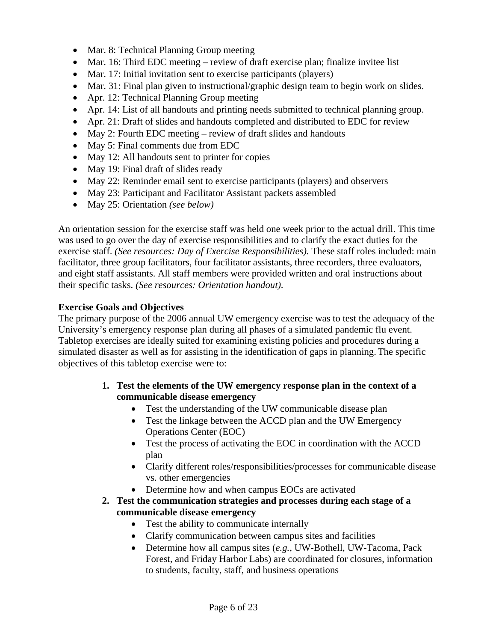- Mar. 8: Technical Planning Group meeting
- Mar. 16: Third EDC meeting review of draft exercise plan; finalize invitee list
- Mar. 17: Initial invitation sent to exercise participants (players)
- Mar. 31: Final plan given to instructional/graphic design team to begin work on slides.
- Apr. 12: Technical Planning Group meeting
- Apr. 14: List of all handouts and printing needs submitted to technical planning group.
- Apr. 21: Draft of slides and handouts completed and distributed to EDC for review
- May 2: Fourth EDC meeting review of draft slides and handouts
- May 5: Final comments due from EDC
- May 12: All handouts sent to printer for copies
- May 19: Final draft of slides ready
- May 22: Reminder email sent to exercise participants (players) and observers
- May 23: Participant and Facilitator Assistant packets assembled
- May 25: Orientation *(see below)*

An orientation session for the exercise staff was held one week prior to the actual drill. This time was used to go over the day of exercise responsibilities and to clarify the exact duties for the exercise staff. *(See resources: Day of Exercise Responsibilities).* These staff roles included: main facilitator, three group facilitators, four facilitator assistants, three recorders, three evaluators, and eight staff assistants. All staff members were provided written and oral instructions about their specific tasks. *(See resources: Orientation handout)*.

# **Exercise Goals and Objectives**

The primary purpose of the 2006 annual UW emergency exercise was to test the adequacy of the University's emergency response plan during all phases of a simulated pandemic flu event. Tabletop exercises are ideally suited for examining existing policies and procedures during a simulated disaster as well as for assisting in the identification of gaps in planning. The specific objectives of this tabletop exercise were to:

- **1. Test the elements of the UW emergency response plan in the context of a communicable disease emergency** 
	- Test the understanding of the UW communicable disease plan
	- Test the linkage between the ACCD plan and the UW Emergency Operations Center (EOC)
	- Test the process of activating the EOC in coordination with the ACCD plan
	- Clarify different roles/responsibilities/processes for communicable disease vs. other emergencies
	- Determine how and when campus EOCs are activated
- **2. Test the communication strategies and processes during each stage of a communicable disease emergency** 
	- Test the ability to communicate internally
	- Clarify communication between campus sites and facilities
	- Determine how all campus sites (*e.g.*, UW-Bothell, UW-Tacoma, Pack Forest, and Friday Harbor Labs) are coordinated for closures, information to students, faculty, staff, and business operations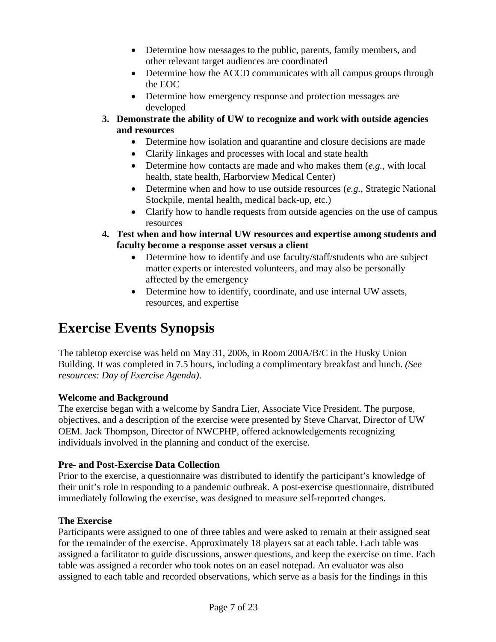- Determine how messages to the public, parents, family members, and other relevant target audiences are coordinated
- Determine how the ACCD communicates with all campus groups through the EOC
- Determine how emergency response and protection messages are developed
- **3. Demonstrate the ability of UW to recognize and work with outside agencies and resources** 
	- Determine how isolation and quarantine and closure decisions are made
	- Clarify linkages and processes with local and state health
	- Determine how contacts are made and who makes them (*e.g.*, with local health, state health, Harborview Medical Center)
	- Determine when and how to use outside resources (*e.g.*, Strategic National Stockpile, mental health, medical back-up, etc.)
	- Clarify how to handle requests from outside agencies on the use of campus resources
- **4. Test when and how internal UW resources and expertise among students and faculty become a response asset versus a client** 
	- Determine how to identify and use faculty/staff/students who are subject matter experts or interested volunteers, and may also be personally affected by the emergency
	- Determine how to identify, coordinate, and use internal UW assets, resources, and expertise

# **Exercise Events Synopsis**

The tabletop exercise was held on May 31, 2006, in Room 200A/B/C in the Husky Union Building. It was completed in 7.5 hours, including a complimentary breakfast and lunch. *(See resources: Day of Exercise Agenda)*.

# **Welcome and Background**

The exercise began with a welcome by Sandra Lier, Associate Vice President. The purpose, objectives, and a description of the exercise were presented by Steve Charvat, Director of UW OEM. Jack Thompson, Director of NWCPHP, offered acknowledgements recognizing individuals involved in the planning and conduct of the exercise.

# **Pre- and Post-Exercise Data Collection**

Prior to the exercise, a questionnaire was distributed to identify the participant's knowledge of their unit's role in responding to a pandemic outbreak. A post-exercise questionnaire, distributed immediately following the exercise, was designed to measure self-reported changes.

# **The Exercise**

Participants were assigned to one of three tables and were asked to remain at their assigned seat for the remainder of the exercise. Approximately 18 players sat at each table. Each table was assigned a facilitator to guide discussions, answer questions, and keep the exercise on time. Each table was assigned a recorder who took notes on an easel notepad. An evaluator was also assigned to each table and recorded observations, which serve as a basis for the findings in this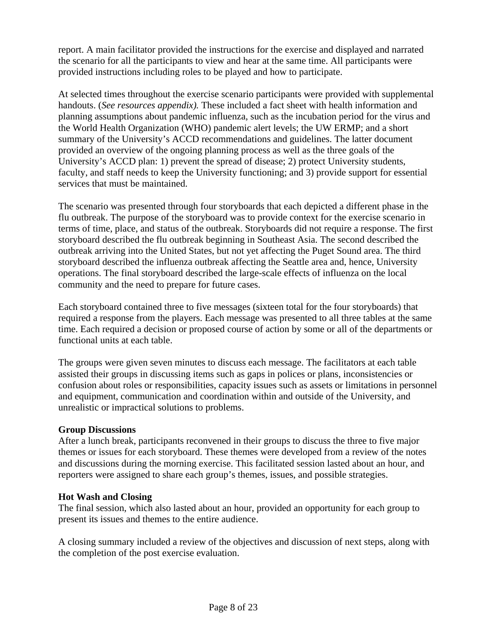report. A main facilitator provided the instructions for the exercise and displayed and narrated the scenario for all the participants to view and hear at the same time. All participants were provided instructions including roles to be played and how to participate.

At selected times throughout the exercise scenario participants were provided with supplemental handouts. (*See resources appendix).* These included a fact sheet with health information and planning assumptions about pandemic influenza, such as the incubation period for the virus and the World Health Organization (WHO) pandemic alert levels; the UW ERMP; and a short summary of the University's ACCD recommendations and guidelines. The latter document provided an overview of the ongoing planning process as well as the three goals of the University's ACCD plan: 1) prevent the spread of disease; 2) protect University students, faculty, and staff needs to keep the University functioning; and 3) provide support for essential services that must be maintained.

The scenario was presented through four storyboards that each depicted a different phase in the flu outbreak. The purpose of the storyboard was to provide context for the exercise scenario in terms of time, place, and status of the outbreak. Storyboards did not require a response. The first storyboard described the flu outbreak beginning in Southeast Asia. The second described the outbreak arriving into the United States, but not yet affecting the Puget Sound area. The third storyboard described the influenza outbreak affecting the Seattle area and, hence, University operations. The final storyboard described the large-scale effects of influenza on the local community and the need to prepare for future cases.

Each storyboard contained three to five messages (sixteen total for the four storyboards) that required a response from the players. Each message was presented to all three tables at the same time. Each required a decision or proposed course of action by some or all of the departments or functional units at each table.

The groups were given seven minutes to discuss each message. The facilitators at each table assisted their groups in discussing items such as gaps in polices or plans, inconsistencies or confusion about roles or responsibilities, capacity issues such as assets or limitations in personnel and equipment, communication and coordination within and outside of the University, and unrealistic or impractical solutions to problems.

# **Group Discussions**

After a lunch break, participants reconvened in their groups to discuss the three to five major themes or issues for each storyboard. These themes were developed from a review of the notes and discussions during the morning exercise. This facilitated session lasted about an hour, and reporters were assigned to share each group's themes, issues, and possible strategies.

# **Hot Wash and Closing**

The final session, which also lasted about an hour, provided an opportunity for each group to present its issues and themes to the entire audience.

A closing summary included a review of the objectives and discussion of next steps, along with the completion of the post exercise evaluation.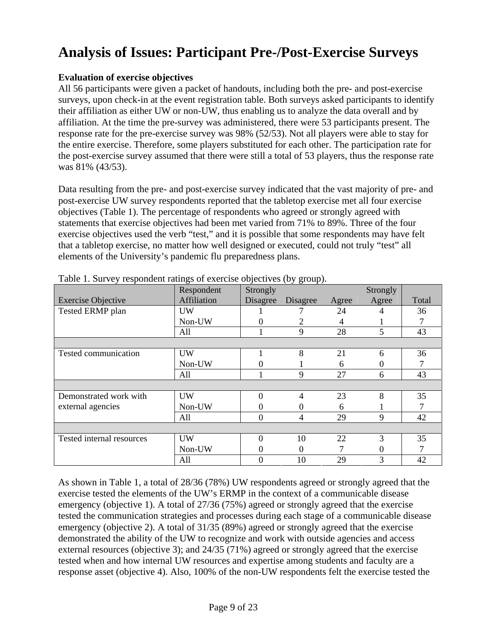# **Analysis of Issues: Participant Pre-/Post-Exercise Surveys**

# **Evaluation of exercise objectives**

All 56 participants were given a packet of handouts, including both the pre- and post-exercise surveys, upon check-in at the event registration table. Both surveys asked participants to identify their affiliation as either UW or non-UW, thus enabling us to analyze the data overall and by affiliation. At the time the pre-survey was administered, there were 53 participants present. The response rate for the pre-exercise survey was 98% (52/53). Not all players were able to stay for the entire exercise. Therefore, some players substituted for each other. The participation rate for the post-exercise survey assumed that there were still a total of 53 players, thus the response rate was 81% (43/53).

Data resulting from the pre- and post-exercise survey indicated that the vast majority of pre- and post-exercise UW survey respondents reported that the tabletop exercise met all four exercise objectives (Table 1). The percentage of respondents who agreed or strongly agreed with statements that exercise objectives had been met varied from 71% to 89%. Three of the four exercise objectives used the verb "test," and it is possible that some respondents may have felt that a tabletop exercise, no matter how well designed or executed, could not truly "test" all elements of the University's pandemic flu preparedness plans.

|                           | Respondent  | Strongly |                   |       | Strongly    |       |
|---------------------------|-------------|----------|-------------------|-------|-------------|-------|
| <b>Exercise Objective</b> | Affiliation | Disagree | Disagree          | Agree | Agree       | Total |
| Tested ERMP plan          | UW          |          |                   | 24    |             | 36    |
|                           | Non-UW      |          | 2                 | 4     |             |       |
|                           | All         |          | 9                 | 28    | 5           | 43    |
|                           |             |          |                   |       |             |       |
| Tested communication      | <b>UW</b>   |          | 8                 | 21    | 6           | 36    |
|                           | Non-UW      |          |                   | 6     |             |       |
|                           | All         |          | 9                 | 27    | 6           | 43    |
|                           |             |          |                   |       |             |       |
| Demonstrated work with    | <b>UW</b>   |          | 4                 | 23    | 8           | 35    |
| external agencies         | Non-UW      | $^{(1)}$ | $\mathbf{\Omega}$ | 6     |             |       |
|                           | All         | $\Omega$ | $\overline{4}$    | 29    | $\mathbf Q$ | 42    |
|                           |             |          |                   |       |             |       |
| Tested internal resources | UW          |          | 10                | 22    | 3           | 35    |
|                           | Non-UW      | $\theta$ | $\Omega$          |       | 0           |       |
|                           | All         | $\Omega$ | 10                | 29    | 3           | 42    |

Table 1. Survey respondent ratings of exercise objectives (by group).

As shown in Table 1, a total of 28/36 (78%) UW respondents agreed or strongly agreed that the exercise tested the elements of the UW's ERMP in the context of a communicable disease emergency (objective 1). A total of 27/36 (75%) agreed or strongly agreed that the exercise tested the communication strategies and processes during each stage of a communicable disease emergency (objective 2). A total of 31/35 (89%) agreed or strongly agreed that the exercise demonstrated the ability of the UW to recognize and work with outside agencies and access external resources (objective 3); and 24/35 (71%) agreed or strongly agreed that the exercise tested when and how internal UW resources and expertise among students and faculty are a response asset (objective 4). Also, 100% of the non-UW respondents felt the exercise tested the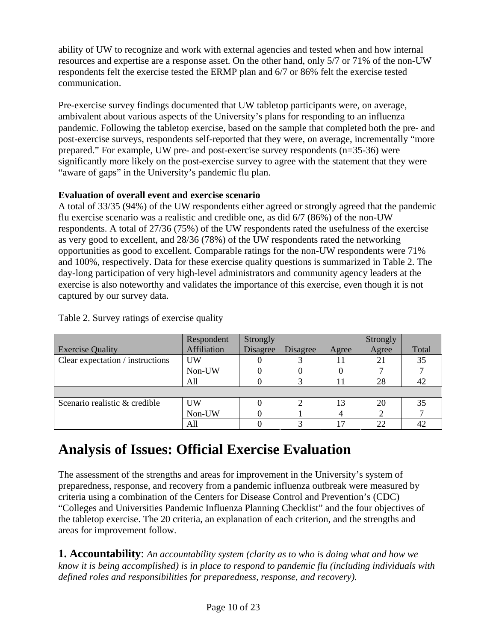ability of UW to recognize and work with external agencies and tested when and how internal resources and expertise are a response asset. On the other hand, only 5/7 or 71% of the non-UW respondents felt the exercise tested the ERMP plan and 6/7 or 86% felt the exercise tested communication.

Pre-exercise survey findings documented that UW tabletop participants were, on average, ambivalent about various aspects of the University's plans for responding to an influenza pandemic. Following the tabletop exercise, based on the sample that completed both the pre- and post-exercise surveys, respondents self-reported that they were, on average, incrementally "more prepared." For example, UW pre- and post-exercise survey respondents (n=35-36) were significantly more likely on the post-exercise survey to agree with the statement that they were "aware of gaps" in the University's pandemic flu plan.

# **Evaluation of overall event and exercise scenario**

A total of 33/35 (94%) of the UW respondents either agreed or strongly agreed that the pandemic flu exercise scenario was a realistic and credible one, as did 6/7 (86%) of the non-UW respondents. A total of 27/36 (75%) of the UW respondents rated the usefulness of the exercise as very good to excellent, and 28/36 (78%) of the UW respondents rated the networking opportunities as good to excellent. Comparable ratings for the non-UW respondents were 71% and 100%, respectively. Data for these exercise quality questions is summarized in Table 2. The day-long participation of very high-level administrators and community agency leaders at the exercise is also noteworthy and validates the importance of this exercise, even though it is not captured by our survey data.

|                                  | Respondent  | Strongly |          |       | Strongly |       |
|----------------------------------|-------------|----------|----------|-------|----------|-------|
| <b>Exercise Quality</b>          | Affiliation | Disagree | Disagree | Agree | Agree    | Total |
| Clear expectation / instructions | UW          |          |          |       |          | 35    |
|                                  | Non-UW      |          |          |       |          |       |
|                                  | All         |          |          |       | 28       |       |
|                                  |             |          |          |       |          |       |
| Scenario realistic & credible    | <b>UW</b>   |          |          | 13    | 20       | 35    |
|                                  | Non-UW      |          |          |       |          |       |
|                                  | All         |          |          |       | つつ       |       |

Table 2. Survey ratings of exercise quality

# **Analysis of Issues: Official Exercise Evaluation**

The assessment of the strengths and areas for improvement in the University's system of preparedness, response, and recovery from a pandemic influenza outbreak were measured by criteria using a combination of the Centers for Disease Control and Prevention's (CDC) "Colleges and Universities Pandemic Influenza Planning Checklist" and the four objectives of the tabletop exercise. The 20 criteria, an explanation of each criterion, and the strengths and areas for improvement follow.

**1. Accountability**: *An accountability system (clarity as to who is doing what and how we know it is being accomplished) is in place to respond to pandemic flu (including individuals with defined roles and responsibilities for preparedness, response, and recovery).*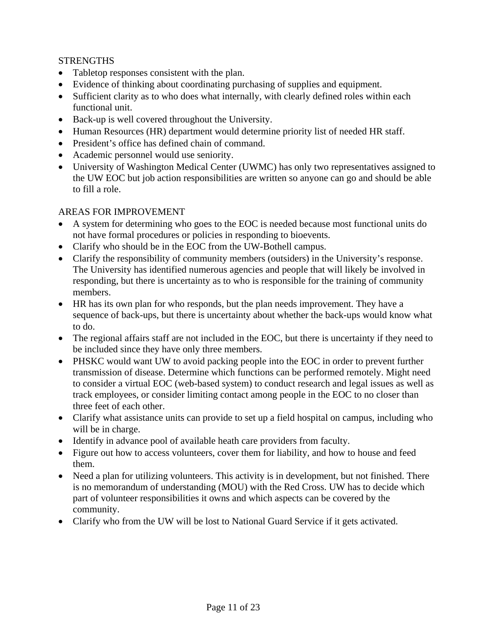# **STRENGTHS**

- Tabletop responses consistent with the plan.
- Evidence of thinking about coordinating purchasing of supplies and equipment.
- Sufficient clarity as to who does what internally, with clearly defined roles within each functional unit.
- Back-up is well covered throughout the University.
- Human Resources (HR) department would determine priority list of needed HR staff.
- President's office has defined chain of command.
- Academic personnel would use seniority.
- University of Washington Medical Center (UWMC) has only two representatives assigned to the UW EOC but job action responsibilities are written so anyone can go and should be able to fill a role.

- A system for determining who goes to the EOC is needed because most functional units do not have formal procedures or policies in responding to bioevents.
- Clarify who should be in the EOC from the UW-Bothell campus.
- Clarify the responsibility of community members (outsiders) in the University's response. The University has identified numerous agencies and people that will likely be involved in responding, but there is uncertainty as to who is responsible for the training of community members.
- HR has its own plan for who responds, but the plan needs improvement. They have a sequence of back-ups, but there is uncertainty about whether the back-ups would know what to do.
- The regional affairs staff are not included in the EOC, but there is uncertainty if they need to be included since they have only three members.
- PHSKC would want UW to avoid packing people into the EOC in order to prevent further transmission of disease. Determine which functions can be performed remotely. Might need to consider a virtual EOC (web-based system) to conduct research and legal issues as well as track employees, or consider limiting contact among people in the EOC to no closer than three feet of each other.
- Clarify what assistance units can provide to set up a field hospital on campus, including who will be in charge.
- Identify in advance pool of available heath care providers from faculty.
- Figure out how to access volunteers, cover them for liability, and how to house and feed them.
- Need a plan for utilizing volunteers. This activity is in development, but not finished. There is no memorandum of understanding (MOU) with the Red Cross. UW has to decide which part of volunteer responsibilities it owns and which aspects can be covered by the community.
- Clarify who from the UW will be lost to National Guard Service if it gets activated.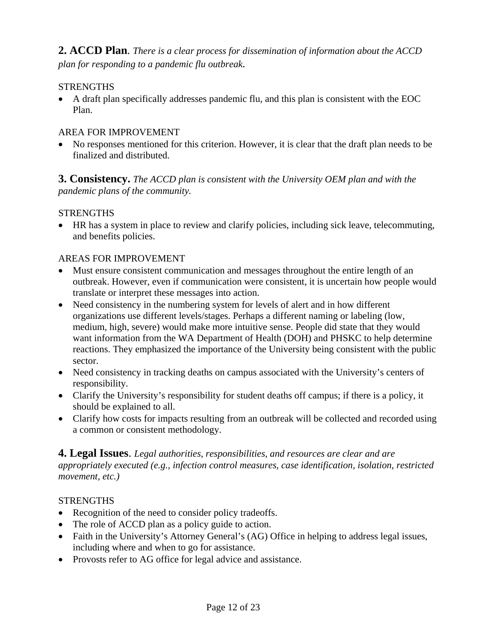**2. ACCD Plan**. *There is a clear process for dissemination of information about the ACCD plan for responding to a pandemic flu outbreak.*

# **STRENGTHS**

• A draft plan specifically addresses pandemic flu, and this plan is consistent with the EOC Plan.

# AREA FOR IMPROVEMENT

• No responses mentioned for this criterion. However, it is clear that the draft plan needs to be finalized and distributed.

**3. Consistency.** *The ACCD plan is consistent with the University OEM plan and with the pandemic plans of the community.*

#### **STRENGTHS**

• HR has a system in place to review and clarify policies, including sick leave, telecommuting, and benefits policies.

#### AREAS FOR IMPROVEMENT

- Must ensure consistent communication and messages throughout the entire length of an outbreak. However, even if communication were consistent, it is uncertain how people would translate or interpret these messages into action.
- Need consistency in the numbering system for levels of alert and in how different organizations use different levels/stages. Perhaps a different naming or labeling (low, medium, high, severe) would make more intuitive sense. People did state that they would want information from the WA Department of Health (DOH) and PHSKC to help determine reactions. They emphasized the importance of the University being consistent with the public sector.
- Need consistency in tracking deaths on campus associated with the University's centers of responsibility.
- Clarify the University's responsibility for student deaths off campus; if there is a policy, it should be explained to all.
- Clarify how costs for impacts resulting from an outbreak will be collected and recorded using a common or consistent methodology.

# **4. Legal Issues**. *Legal authorities, responsibilities, and resources are clear and are appropriately executed (e.g., infection control measures, case identification, isolation, restricted movement, etc.)*

#### **STRENGTHS**

- Recognition of the need to consider policy tradeoffs.
- The role of ACCD plan as a policy guide to action.
- Faith in the University's Attorney General's (AG) Office in helping to address legal issues, including where and when to go for assistance.
- Provosts refer to AG office for legal advice and assistance.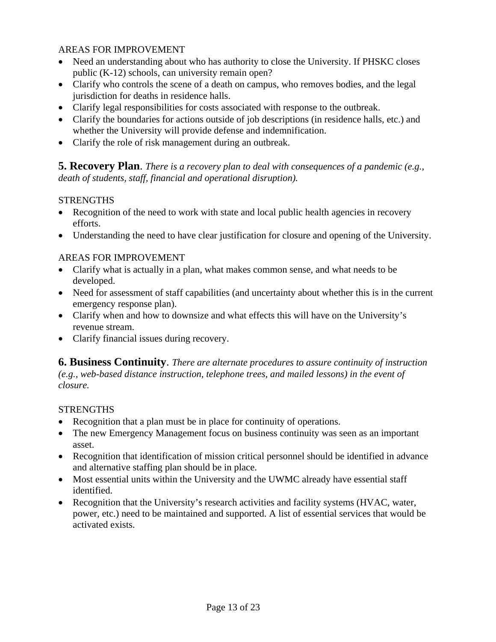# AREAS FOR IMPROVEMENT

- Need an understanding about who has authority to close the University. If PHSKC closes public (K-12) schools, can university remain open?
- Clarify who controls the scene of a death on campus, who removes bodies, and the legal jurisdiction for deaths in residence halls.
- Clarify legal responsibilities for costs associated with response to the outbreak.
- Clarify the boundaries for actions outside of job descriptions (in residence halls, etc.) and whether the University will provide defense and indemnification.
- Clarify the role of risk management during an outbreak.

**5. Recovery Plan**. *There is a recovery plan to deal with consequences of a pandemic (e.g., death of students, staff, financial and operational disruption).* 

# **STRENGTHS**

- Recognition of the need to work with state and local public health agencies in recovery efforts.
- Understanding the need to have clear justification for closure and opening of the University.

# AREAS FOR IMPROVEMENT

- Clarify what is actually in a plan, what makes common sense, and what needs to be developed.
- Need for assessment of staff capabilities (and uncertainty about whether this is in the current emergency response plan).
- Clarify when and how to downsize and what effects this will have on the University's revenue stream.
- Clarify financial issues during recovery.

**6. Business Continuity**. *There are alternate procedures to assure continuity of instruction (e.g., web-based distance instruction, telephone trees, and mailed lessons) in the event of closure.*

#### **STRENGTHS**

- Recognition that a plan must be in place for continuity of operations.
- The new Emergency Management focus on business continuity was seen as an important asset.
- Recognition that identification of mission critical personnel should be identified in advance and alternative staffing plan should be in place.
- Most essential units within the University and the UWMC already have essential staff identified.
- Recognition that the University's research activities and facility systems (HVAC, water, power, etc.) need to be maintained and supported. A list of essential services that would be activated exists.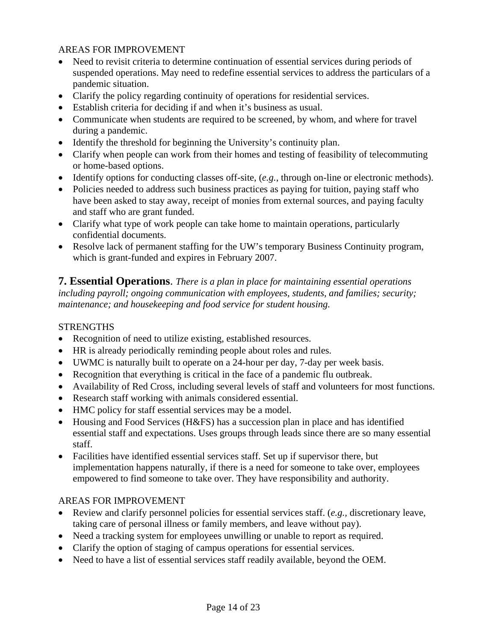# AREAS FOR IMPROVEMENT

- Need to revisit criteria to determine continuation of essential services during periods of suspended operations. May need to redefine essential services to address the particulars of a pandemic situation.
- Clarify the policy regarding continuity of operations for residential services.
- Establish criteria for deciding if and when it's business as usual.
- Communicate when students are required to be screened, by whom, and where for travel during a pandemic.
- Identify the threshold for beginning the University's continuity plan.
- Clarify when people can work from their homes and testing of feasibility of telecommuting or home-based options.
- Identify options for conducting classes off-site, (*e.g.*, through on-line or electronic methods).
- Policies needed to address such business practices as paying for tuition, paying staff who have been asked to stay away, receipt of monies from external sources, and paying faculty and staff who are grant funded.
- Clarify what type of work people can take home to maintain operations, particularly confidential documents.
- Resolve lack of permanent staffing for the UW's temporary Business Continuity program, which is grant-funded and expires in February 2007.

**7. Essential Operations**. *There is a plan in place for maintaining essential operations including payroll; ongoing communication with employees, students, and families; security; maintenance; and housekeeping and food service for student housing.*

# **STRENGTHS**

- Recognition of need to utilize existing, established resources.
- HR is already periodically reminding people about roles and rules.
- UWMC is naturally built to operate on a 24-hour per day, 7-day per week basis.
- Recognition that everything is critical in the face of a pandemic flu outbreak.
- Availability of Red Cross, including several levels of staff and volunteers for most functions.
- Research staff working with animals considered essential.
- HMC policy for staff essential services may be a model.
- Housing and Food Services (H&FS) has a succession plan in place and has identified essential staff and expectations. Uses groups through leads since there are so many essential staff.
- Facilities have identified essential services staff. Set up if supervisor there, but implementation happens naturally, if there is a need for someone to take over, employees empowered to find someone to take over. They have responsibility and authority.

- Review and clarify personnel policies for essential services staff. (*e.g.,* discretionary leave, taking care of personal illness or family members, and leave without pay).
- Need a tracking system for employees unwilling or unable to report as required.
- Clarify the option of staging of campus operations for essential services.
- Need to have a list of essential services staff readily available, beyond the OEM.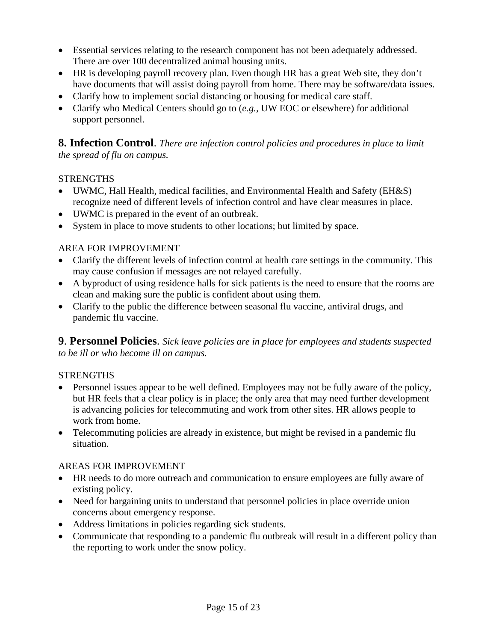- Essential services relating to the research component has not been adequately addressed. There are over 100 decentralized animal housing units.
- HR is developing payroll recovery plan. Even though HR has a great Web site, they don't have documents that will assist doing payroll from home. There may be software/data issues.
- Clarify how to implement social distancing or housing for medical care staff.
- Clarify who Medical Centers should go to (*e.g.,* UW EOC or elsewhere) for additional support personnel.

**8. Infection Control**. *There are infection control policies and procedures in place to limit the spread of flu on campus.* 

# **STRENGTHS**

- UWMC, Hall Health, medical facilities, and Environmental Health and Safety (EH&S) recognize need of different levels of infection control and have clear measures in place.
- UWMC is prepared in the event of an outbreak.
- System in place to move students to other locations; but limited by space.

# AREA FOR IMPROVEMENT

- Clarify the different levels of infection control at health care settings in the community. This may cause confusion if messages are not relayed carefully.
- A byproduct of using residence halls for sick patients is the need to ensure that the rooms are clean and making sure the public is confident about using them.
- Clarify to the public the difference between seasonal flu vaccine, antiviral drugs, and pandemic flu vaccine.

**9**. **Personnel Policies**. *Sick leave policies are in place for employees and students suspected to be ill or who become ill on campus.* 

# **STRENGTHS**

- Personnel issues appear to be well defined. Employees may not be fully aware of the policy, but HR feels that a clear policy is in place; the only area that may need further development is advancing policies for telecommuting and work from other sites. HR allows people to work from home.
- Telecommuting policies are already in existence, but might be revised in a pandemic flu situation.

- HR needs to do more outreach and communication to ensure employees are fully aware of existing policy.
- Need for bargaining units to understand that personnel policies in place override union concerns about emergency response.
- Address limitations in policies regarding sick students.
- Communicate that responding to a pandemic flu outbreak will result in a different policy than the reporting to work under the snow policy.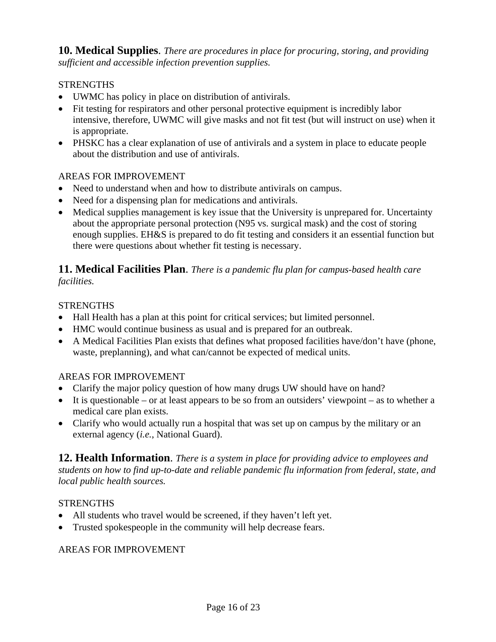**10. Medical Supplies**. *There are procedures in place for procuring, storing, and providing sufficient and accessible infection prevention supplies.*

# **STRENGTHS**

- UWMC has policy in place on distribution of antivirals.
- Fit testing for respirators and other personal protective equipment is incredibly labor intensive, therefore, UWMC will give masks and not fit test (but will instruct on use) when it is appropriate.
- PHSKC has a clear explanation of use of antivirals and a system in place to educate people about the distribution and use of antivirals.

# AREAS FOR IMPROVEMENT

- Need to understand when and how to distribute antivirals on campus.
- Need for a dispensing plan for medications and antivirals.
- Medical supplies management is key issue that the University is unprepared for. Uncertainty about the appropriate personal protection (N95 vs. surgical mask) and the cost of storing enough supplies. EH&S is prepared to do fit testing and considers it an essential function but there were questions about whether fit testing is necessary.

#### **11. Medical Facilities Plan**. *There is a pandemic flu plan for campus-based health care facilities.*

# **STRENGTHS**

- Hall Health has a plan at this point for critical services; but limited personnel.
- HMC would continue business as usual and is prepared for an outbreak.
- A Medical Facilities Plan exists that defines what proposed facilities have/don't have (phone, waste, preplanning), and what can/cannot be expected of medical units.

# AREAS FOR IMPROVEMENT

- Clarify the major policy question of how many drugs UW should have on hand?
- It is questionable or at least appears to be so from an outsiders' viewpoint as to whether a medical care plan exists.
- Clarify who would actually run a hospital that was set up on campus by the military or an external agency (*i.e.*, National Guard).

**12. Health Information**. *There is a system in place for providing advice to employees and students on how to find up-to-date and reliable pandemic flu information from federal, state, and local public health sources.* 

# **STRENGTHS**

- All students who travel would be screened, if they haven't left yet.
- Trusted spokespeople in the community will help decrease fears.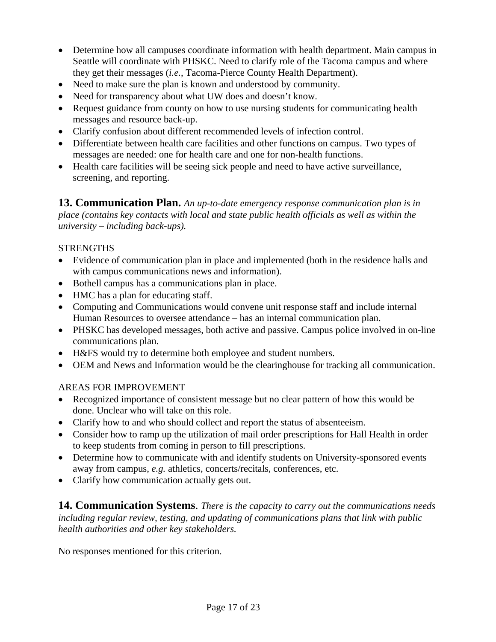- Determine how all campuses coordinate information with health department. Main campus in Seattle will coordinate with PHSKC. Need to clarify role of the Tacoma campus and where they get their messages (*i.e.*, Tacoma-Pierce County Health Department).
- Need to make sure the plan is known and understood by community.
- Need for transparency about what UW does and doesn't know.
- Request guidance from county on how to use nursing students for communicating health messages and resource back-up.
- Clarify confusion about different recommended levels of infection control.
- Differentiate between health care facilities and other functions on campus. Two types of messages are needed: one for health care and one for non-health functions.
- Health care facilities will be seeing sick people and need to have active surveillance, screening, and reporting.

**13. Communication Plan.** *An up-to-date emergency response communication plan is in place (contains key contacts with local and state public health officials as well as within the university – including back-ups).*

# **STRENGTHS**

- Evidence of communication plan in place and implemented (both in the residence halls and with campus communications news and information).
- Bothell campus has a communications plan in place.
- HMC has a plan for educating staff.
- Computing and Communications would convene unit response staff and include internal Human Resources to oversee attendance – has an internal communication plan.
- PHSKC has developed messages, both active and passive. Campus police involved in on-line communications plan.
- H&FS would try to determine both employee and student numbers.
- OEM and News and Information would be the clearinghouse for tracking all communication.

# AREAS FOR IMPROVEMENT

- Recognized importance of consistent message but no clear pattern of how this would be done. Unclear who will take on this role.
- Clarify how to and who should collect and report the status of absenteeism.
- Consider how to ramp up the utilization of mail order prescriptions for Hall Health in order to keep students from coming in person to fill prescriptions.
- Determine how to communicate with and identify students on University-sponsored events away from campus, *e.g.* athletics, concerts/recitals, conferences, etc.
- Clarify how communication actually gets out.

**14. Communication Systems**. *There is the capacity to carry out the communications needs including regular review, testing, and updating of communications plans that link with public health authorities and other key stakeholders.* 

No responses mentioned for this criterion.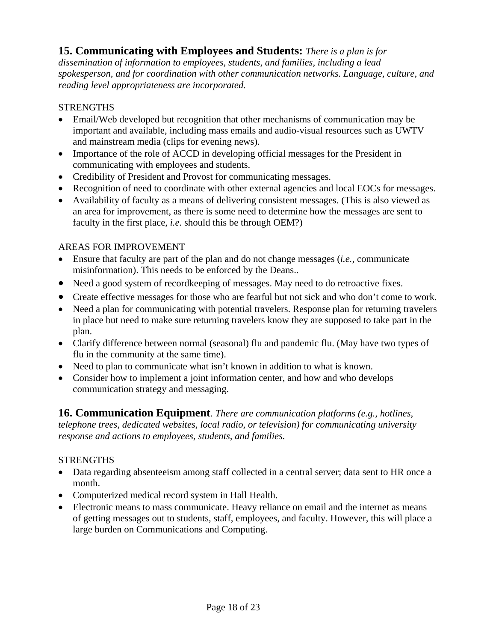# **15. Communicating with Employees and Students:** *There is a plan is for*

*dissemination of information to employees, students, and families, including a lead spokesperson, and for coordination with other communication networks. Language, culture, and reading level appropriateness are incorporated.* 

#### **STRENGTHS**

- Email/Web developed but recognition that other mechanisms of communication may be important and available, including mass emails and audio-visual resources such as UWTV and mainstream media (clips for evening news).
- Importance of the role of ACCD in developing official messages for the President in communicating with employees and students.
- Credibility of President and Provost for communicating messages.
- Recognition of need to coordinate with other external agencies and local EOCs for messages.
- Availability of faculty as a means of delivering consistent messages. (This is also viewed as an area for improvement, as there is some need to determine how the messages are sent to faculty in the first place, *i.e.* should this be through OEM?)

#### AREAS FOR IMPROVEMENT

- Ensure that faculty are part of the plan and do not change messages (*i.e.,* communicate misinformation). This needs to be enforced by the Deans..
- Need a good system of recordkeeping of messages. May need to do retroactive fixes.
- Create effective messages for those who are fearful but not sick and who don't come to work.
- Need a plan for communicating with potential travelers. Response plan for returning travelers in place but need to make sure returning travelers know they are supposed to take part in the plan.
- Clarify difference between normal (seasonal) flu and pandemic flu. (May have two types of flu in the community at the same time).
- Need to plan to communicate what isn't known in addition to what is known.
- Consider how to implement a joint information center, and how and who develops communication strategy and messaging.

# **16. Communication Equipment**. *There are communication platforms (e.g., hotlines,*

*telephone trees, dedicated websites, local radio, or television) for communicating university response and actions to employees, students, and families.* 

#### **STRENGTHS**

- Data regarding absenteeism among staff collected in a central server; data sent to HR once a month.
- Computerized medical record system in Hall Health.
- Electronic means to mass communicate. Heavy reliance on email and the internet as means of getting messages out to students, staff, employees, and faculty. However, this will place a large burden on Communications and Computing.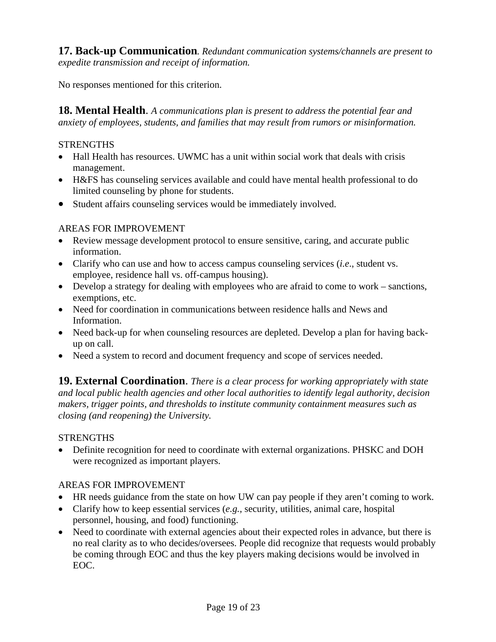**17. Back-up Communication***. Redundant communication systems/channels are present to expedite transmission and receipt of information.* 

No responses mentioned for this criterion.

**18. Mental Health**. *A communications plan is present to address the potential fear and anxiety of employees, students, and families that may result from rumors or misinformation.* 

# **STRENGTHS**

- Hall Health has resources. UWMC has a unit within social work that deals with crisis management.
- H&FS has counseling services available and could have mental health professional to do limited counseling by phone for students.
- Student affairs counseling services would be immediately involved.

# AREAS FOR IMPROVEMENT

- Review message development protocol to ensure sensitive, caring, and accurate public information.
- Clarify who can use and how to access campus counseling services (*i.e*., student vs. employee, residence hall vs. off-campus housing).
- Develop a strategy for dealing with employees who are afraid to come to work sanctions, exemptions, etc.
- Need for coordination in communications between residence halls and News and Information.
- Need back-up for when counseling resources are depleted. Develop a plan for having backup on call.
- Need a system to record and document frequency and scope of services needed.

**19. External Coordination**. *There is a clear process for working appropriately with state and local public health agencies and other local authorities to identify legal authority, decision makers, trigger points, and thresholds to institute community containment measures such as closing (and reopening) the University.* 

# **STRENGTHS**

• Definite recognition for need to coordinate with external organizations. PHSKC and DOH were recognized as important players.

- HR needs guidance from the state on how UW can pay people if they aren't coming to work.
- Clarify how to keep essential services (*e.g.,* security, utilities, animal care, hospital personnel, housing, and food) functioning.
- Need to coordinate with external agencies about their expected roles in advance, but there is no real clarity as to who decides/oversees. People did recognize that requests would probably be coming through EOC and thus the key players making decisions would be involved in EOC.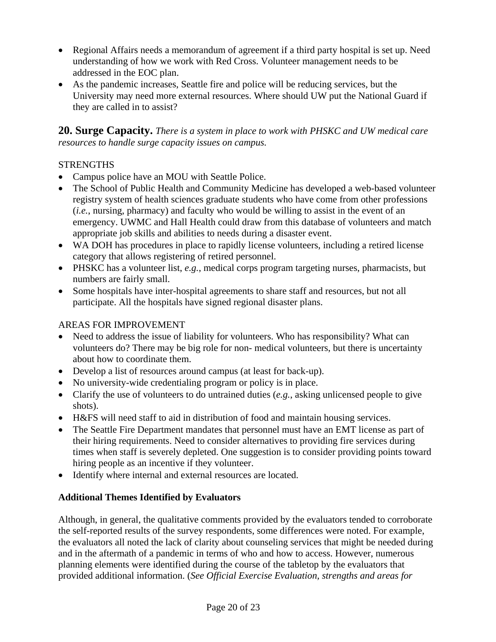- Regional Affairs needs a memorandum of agreement if a third party hospital is set up. Need understanding of how we work with Red Cross. Volunteer management needs to be addressed in the EOC plan.
- As the pandemic increases, Seattle fire and police will be reducing services, but the University may need more external resources. Where should UW put the National Guard if they are called in to assist?

**20. Surge Capacity.** *There is a system in place to work with PHSKC and UW medical care resources to handle surge capacity issues on campus.* 

# **STRENGTHS**

- Campus police have an MOU with Seattle Police.
- The School of Public Health and Community Medicine has developed a web-based volunteer registry system of health sciences graduate students who have come from other professions (*i.e.*, nursing, pharmacy) and faculty who would be willing to assist in the event of an emergency. UWMC and Hall Health could draw from this database of volunteers and match appropriate job skills and abilities to needs during a disaster event.
- WA DOH has procedures in place to rapidly license volunteers, including a retired license category that allows registering of retired personnel.
- PHSKC has a volunteer list, *e.g.*, medical corps program targeting nurses, pharmacists, but numbers are fairly small.
- Some hospitals have inter-hospital agreements to share staff and resources, but not all participate. All the hospitals have signed regional disaster plans.

# AREAS FOR IMPROVEMENT

- Need to address the issue of liability for volunteers. Who has responsibility? What can volunteers do? There may be big role for non- medical volunteers, but there is uncertainty about how to coordinate them.
- Develop a list of resources around campus (at least for back-up).
- No university-wide credentialing program or policy is in place.
- Clarify the use of volunteers to do untrained duties (*e.g.*, asking unlicensed people to give shots).
- H&FS will need staff to aid in distribution of food and maintain housing services.
- The Seattle Fire Department mandates that personnel must have an EMT license as part of their hiring requirements. Need to consider alternatives to providing fire services during times when staff is severely depleted. One suggestion is to consider providing points toward hiring people as an incentive if they volunteer.
- Identify where internal and external resources are located.

# **Additional Themes Identified by Evaluators**

Although, in general, the qualitative comments provided by the evaluators tended to corroborate the self-reported results of the survey respondents, some differences were noted. For example, the evaluators all noted the lack of clarity about counseling services that might be needed during and in the aftermath of a pandemic in terms of who and how to access. However, numerous planning elements were identified during the course of the tabletop by the evaluators that provided additional information. (*See Official Exercise Evaluation, strengths and areas for*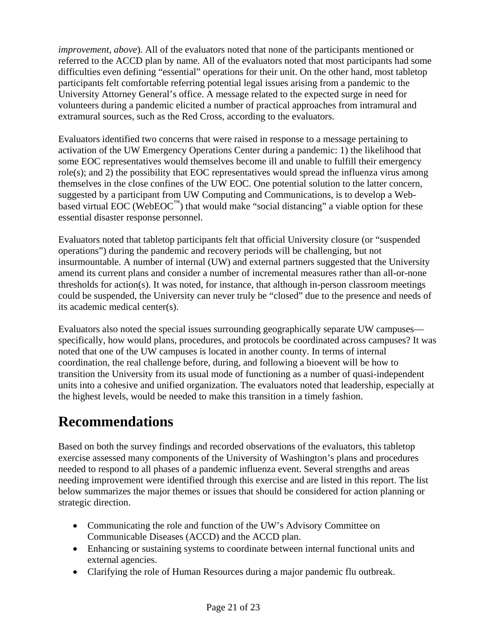*improvement, above*). All of the evaluators noted that none of the participants mentioned or referred to the ACCD plan by name. All of the evaluators noted that most participants had some difficulties even defining "essential" operations for their unit. On the other hand, most tabletop participants felt comfortable referring potential legal issues arising from a pandemic to the University Attorney General's office. A message related to the expected surge in need for volunteers during a pandemic elicited a number of practical approaches from intramural and extramural sources, such as the Red Cross, according to the evaluators.

Evaluators identified two concerns that were raised in response to a message pertaining to activation of the UW Emergency Operations Center during a pandemic: 1) the likelihood that some EOC representatives would themselves become ill and unable to fulfill their emergency role(s); and 2) the possibility that EOC representatives would spread the influenza virus among themselves in the close confines of the UW EOC. One potential solution to the latter concern, suggested by a participant from UW Computing and Communications, is to develop a Webbased virtual EOC (WebEOC<sup>™</sup>) that would make "social distancing" a viable option for these essential disaster response personnel.

Evaluators noted that tabletop participants felt that official University closure (or "suspended operations") during the pandemic and recovery periods will be challenging, but not insurmountable. A number of internal (UW) and external partners suggested that the University amend its current plans and consider a number of incremental measures rather than all-or-none thresholds for action(s). It was noted, for instance, that although in-person classroom meetings could be suspended, the University can never truly be "closed" due to the presence and needs of its academic medical center(s).

Evaluators also noted the special issues surrounding geographically separate UW campuses specifically, how would plans, procedures, and protocols be coordinated across campuses? It was noted that one of the UW campuses is located in another county. In terms of internal coordination, the real challenge before, during, and following a bioevent will be how to transition the University from its usual mode of functioning as a number of quasi-independent units into a cohesive and unified organization. The evaluators noted that leadership, especially at the highest levels, would be needed to make this transition in a timely fashion.

# **Recommendations**

Based on both the survey findings and recorded observations of the evaluators, this tabletop exercise assessed many components of the University of Washington's plans and procedures needed to respond to all phases of a pandemic influenza event. Several strengths and areas needing improvement were identified through this exercise and are listed in this report. The list below summarizes the major themes or issues that should be considered for action planning or strategic direction.

- Communicating the role and function of the UW's Advisory Committee on Communicable Diseases (ACCD) and the ACCD plan.
- Enhancing or sustaining systems to coordinate between internal functional units and external agencies.
- Clarifying the role of Human Resources during a major pandemic flu outbreak.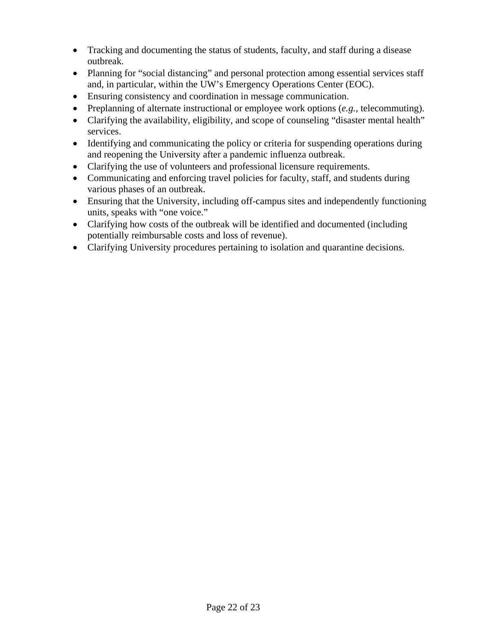- Tracking and documenting the status of students, faculty, and staff during a disease outbreak.
- Planning for "social distancing" and personal protection among essential services staff and, in particular, within the UW's Emergency Operations Center (EOC).
- Ensuring consistency and coordination in message communication.
- Preplanning of alternate instructional or employee work options (*e.g.*, telecommuting).
- Clarifying the availability, eligibility, and scope of counseling "disaster mental health" services.
- Identifying and communicating the policy or criteria for suspending operations during and reopening the University after a pandemic influenza outbreak.
- Clarifying the use of volunteers and professional licensure requirements.
- Communicating and enforcing travel policies for faculty, staff, and students during various phases of an outbreak.
- Ensuring that the University, including off-campus sites and independently functioning units, speaks with "one voice."
- Clarifying how costs of the outbreak will be identified and documented (including potentially reimbursable costs and loss of revenue).
- Clarifying University procedures pertaining to isolation and quarantine decisions.